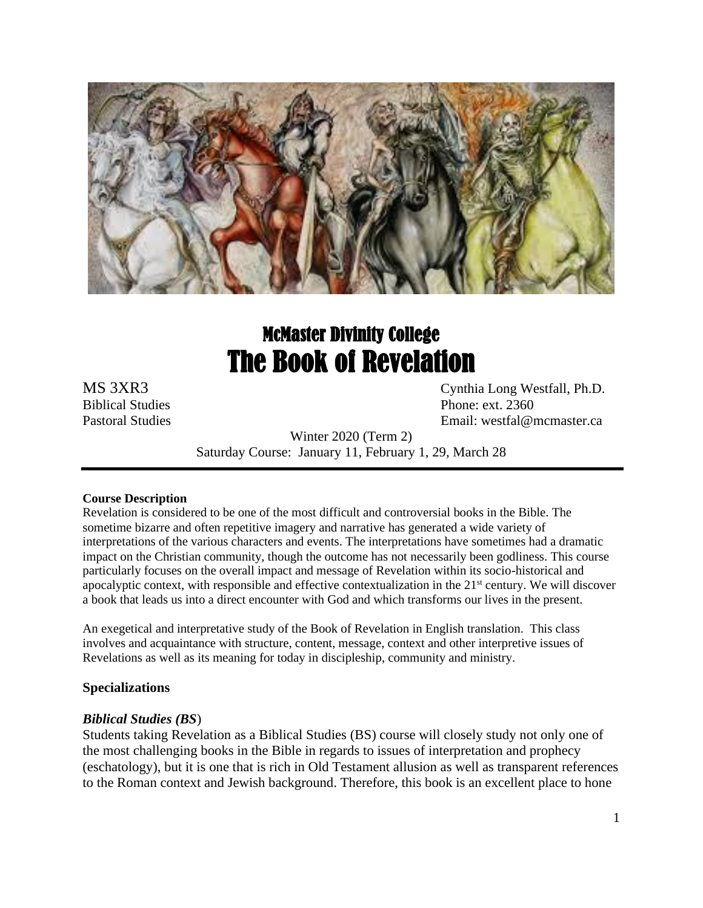

# McMaster Divinity College The Book of Revelation

MS 3XR3 Cynthia Long Westfall, Ph.D. Biblical Studies Phone: ext. 2360 Pastoral Studies Email: westfal@mcmaster.ca

> Winter 2020 (Term 2) Saturday Course: January 11, February 1, 29, March 28

#### **Course Description**

Revelation is considered to be one of the most difficult and controversial books in the Bible. The sometime bizarre and often repetitive imagery and narrative has generated a wide variety of interpretations of the various characters and events. The interpretations have sometimes had a dramatic impact on the Christian community, though the outcome has not necessarily been godliness. This course particularly focuses on the overall impact and message of Revelation within its socio-historical and apocalyptic context, with responsible and effective contextualization in the  $21<sup>st</sup>$  century. We will discover a book that leads us into a direct encounter with God and which transforms our lives in the present.

An exegetical and interpretative study of the Book of Revelation in English translation. This class involves and acquaintance with structure, content, message, context and other interpretive issues of Revelations as well as its meaning for today in discipleship, community and ministry.

## **Specializations**

## *Biblical Studies (BS*)

Students taking Revelation as a Biblical Studies (BS) course will closely study not only one of the most challenging books in the Bible in regards to issues of interpretation and prophecy (eschatology), but it is one that is rich in Old Testament allusion as well as transparent references to the Roman context and Jewish background. Therefore, this book is an excellent place to hone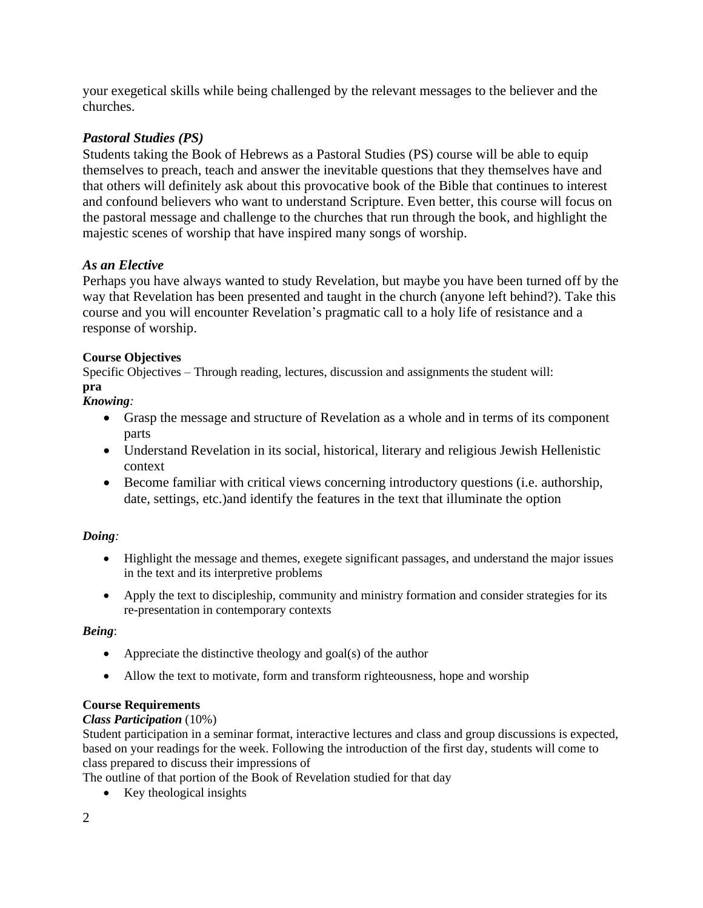your exegetical skills while being challenged by the relevant messages to the believer and the churches.

# *Pastoral Studies (PS)*

Students taking the Book of Hebrews as a Pastoral Studies (PS) course will be able to equip themselves to preach, teach and answer the inevitable questions that they themselves have and that others will definitely ask about this provocative book of the Bible that continues to interest and confound believers who want to understand Scripture. Even better, this course will focus on the pastoral message and challenge to the churches that run through the book, and highlight the majestic scenes of worship that have inspired many songs of worship.

# *As an Elective*

Perhaps you have always wanted to study Revelation, but maybe you have been turned off by the way that Revelation has been presented and taught in the church (anyone left behind?). Take this course and you will encounter Revelation's pragmatic call to a holy life of resistance and a response of worship.

# **Course Objectives**

Specific Objectives – Through reading, lectures, discussion and assignments the student will: **pra**

# *Knowing:*

- Grasp the message and structure of Revelation as a whole and in terms of its component parts
- Understand Revelation in its social, historical, literary and religious Jewish Hellenistic context
- Become familiar with critical views concerning introductory questions (i.e. authorship, date, settings, etc.)and identify the features in the text that illuminate the option

# *Doing:*

- Highlight the message and themes, exegete significant passages, and understand the major issues in the text and its interpretive problems
- Apply the text to discipleship, community and ministry formation and consider strategies for its re-presentation in contemporary contexts

## *Being*:

- Appreciate the distinctive theology and goal(s) of the author
- Allow the text to motivate, form and transform righteousness, hope and worship

## **Course Requirements**

## *Class Participation* (10%)

Student participation in a seminar format, interactive lectures and class and group discussions is expected, based on your readings for the week. Following the introduction of the first day, students will come to class prepared to discuss their impressions of

The outline of that portion of the Book of Revelation studied for that day

• Key theological insights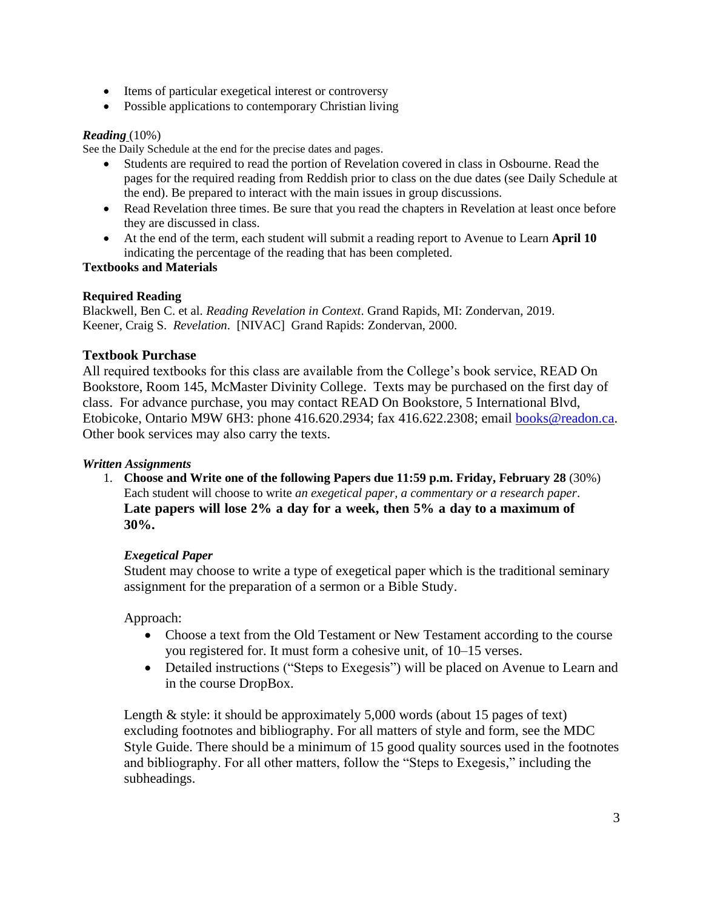- Items of particular exegetical interest or controversy
- Possible applications to contemporary Christian living

#### *Reading* (10%)

See the Daily Schedule at the end for the precise dates and pages.

- Students are required to read the portion of Revelation covered in class in Osbourne. Read the pages for the required reading from Reddish prior to class on the due dates (see Daily Schedule at the end). Be prepared to interact with the main issues in group discussions.
- Read Revelation three times. Be sure that you read the chapters in Revelation at least once before they are discussed in class.
- At the end of the term, each student will submit a reading report to Avenue to Learn **April 10**  indicating the percentage of the reading that has been completed.

#### **Textbooks and Materials**

#### **Required Reading**

Blackwell, Ben C. et al. *Reading Revelation in Context*. Grand Rapids, MI: Zondervan, 2019. Keener, Craig S. *Revelation*. [NIVAC] Grand Rapids: Zondervan, 2000.

## **Textbook Purchase**

All required textbooks for this class are available from the College's book service, READ On Bookstore, Room 145, McMaster Divinity College. Texts may be purchased on the first day of class. For advance purchase, you may contact READ On Bookstore, 5 International Blvd, Etobicoke, Ontario M9W 6H3: phone 416.620.2934; fax 416.622.2308; email [books@readon.ca.](mailto:books@readon.ca) Other book services may also carry the texts.

#### *Written Assignments*

1. **Choose and Write one of the following Papers due 11:59 p.m. Friday, February 28** (30%) Each student will choose to write *an exegetical paper, a commentary or a research paper*. **Late papers will lose 2% a day for a week, then 5% a day to a maximum of 30%.**

## *Exegetical Paper*

Student may choose to write a type of exegetical paper which is the traditional seminary assignment for the preparation of a sermon or a Bible Study.

Approach:

- Choose a text from the Old Testament or New Testament according to the course you registered for. It must form a cohesive unit, of 10–15 verses.
- Detailed instructions ("Steps to Exegesis") will be placed on Avenue to Learn and in the course DropBox.

Length & style: it should be approximately 5,000 words (about 15 pages of text) excluding footnotes and bibliography. For all matters of style and form, see the MDC Style Guide. There should be a minimum of 15 good quality sources used in the footnotes and bibliography. For all other matters, follow the "Steps to Exegesis," including the subheadings.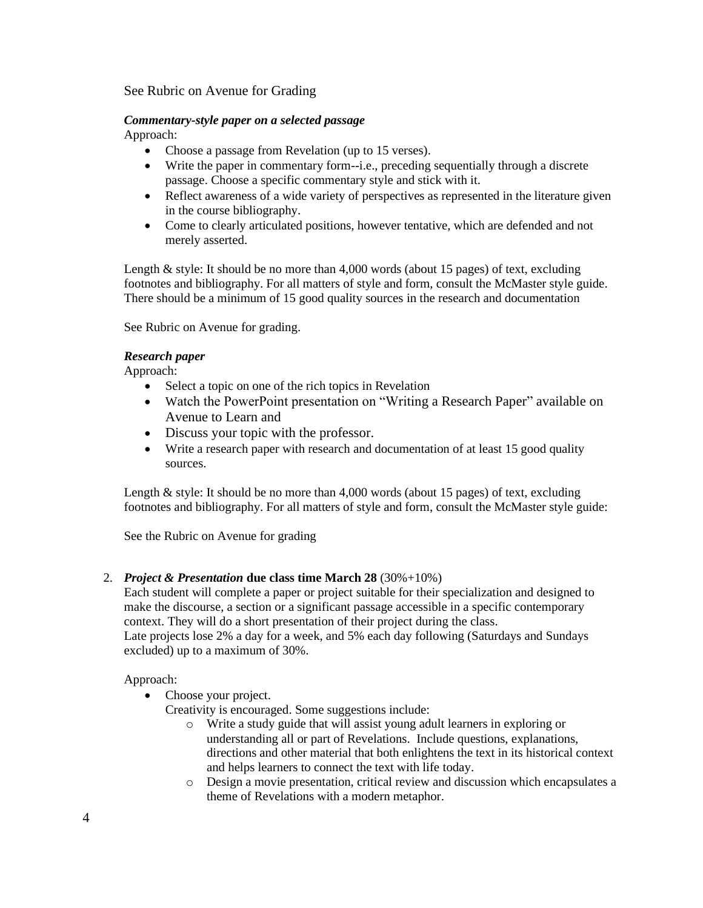See Rubric on Avenue for Grading

# *Commentary-style paper on a selected passage*

Approach:

- Choose a passage from Revelation (up to 15 verses).
- Write the paper in commentary form--i.e., preceding sequentially through a discrete passage. Choose a specific commentary style and stick with it.
- Reflect awareness of a wide variety of perspectives as represented in the literature given in the course bibliography.
- Come to clearly articulated positions, however tentative, which are defended and not merely asserted.

Length & style: It should be no more than 4,000 words (about 15 pages) of text, excluding footnotes and bibliography. For all matters of style and form, consult the McMaster style guide. There should be a minimum of 15 good quality sources in the research and documentation

See Rubric on Avenue for grading.

## *Research paper*

Approach:

- Select a topic on one of the rich topics in Revelation
- Watch the PowerPoint presentation on "Writing a Research Paper" available on Avenue to Learn and
- Discuss your topic with the professor.
- Write a research paper with research and documentation of at least 15 good quality sources.

Length & style: It should be no more than 4,000 words (about 15 pages) of text, excluding footnotes and bibliography. For all matters of style and form, consult the McMaster style guide:

See the Rubric on Avenue for grading

#### 2. *Project & Presentation* **due class time March 28** (30%+10%)

Each student will complete a paper or project suitable for their specialization and designed to make the discourse, a section or a significant passage accessible in a specific contemporary context. They will do a short presentation of their project during the class. Late projects lose 2% a day for a week, and 5% each day following (Saturdays and Sundays excluded) up to a maximum of 30%.

#### Approach:

• Choose your project.

Creativity is encouraged. Some suggestions include:

- o Write a study guide that will assist young adult learners in exploring or understanding all or part of Revelations. Include questions, explanations, directions and other material that both enlightens the text in its historical context and helps learners to connect the text with life today.
- o Design a movie presentation, critical review and discussion which encapsulates a theme of Revelations with a modern metaphor.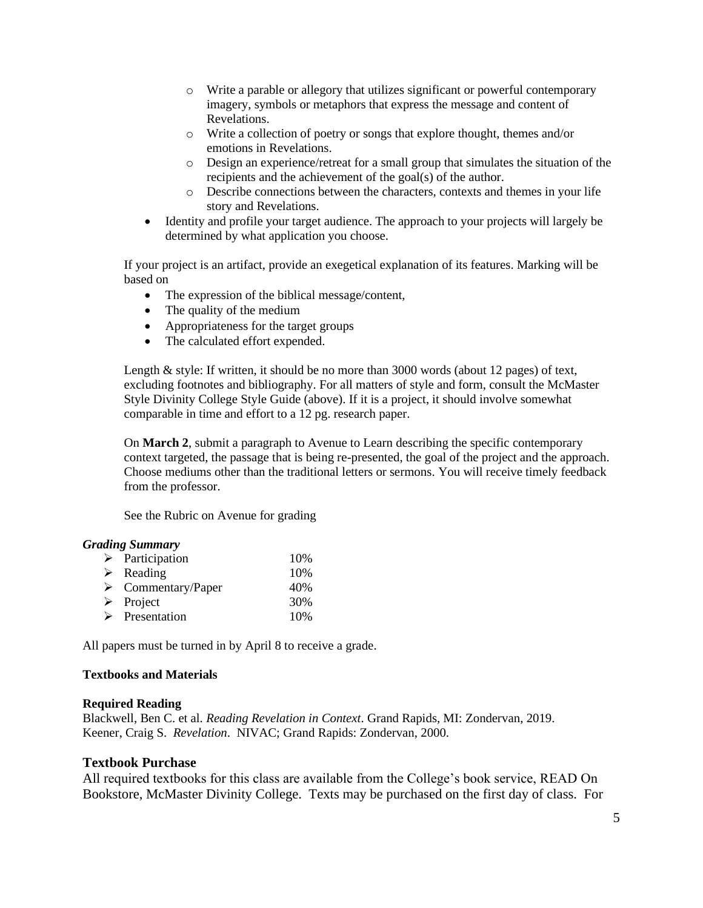- o Write a parable or allegory that utilizes significant or powerful contemporary imagery, symbols or metaphors that express the message and content of Revelations.
- o Write a collection of poetry or songs that explore thought, themes and/or emotions in Revelations.
- o Design an experience/retreat for a small group that simulates the situation of the recipients and the achievement of the goal(s) of the author.
- o Describe connections between the characters, contexts and themes in your life story and Revelations.
- Identity and profile your target audience. The approach to your projects will largely be determined by what application you choose.

If your project is an artifact, provide an exegetical explanation of its features. Marking will be based on

- The expression of the biblical message/content,
- The quality of the medium
- Appropriateness for the target groups
- The calculated effort expended.

Length & style: If written, it should be no more than 3000 words (about 12 pages) of text, excluding footnotes and bibliography. For all matters of style and form, consult the McMaster Style Divinity College Style Guide (above). If it is a project, it should involve somewhat comparable in time and effort to a 12 pg. research paper.

On **March 2**, submit a paragraph to Avenue to Learn describing the specific contemporary context targeted, the passage that is being re-presented, the goal of the project and the approach. Choose mediums other than the traditional letters or sermons. You will receive timely feedback from the professor.

See the Rubric on Avenue for grading

#### *Grading Summary*

| $\triangleright$ Participation    | 10% |
|-----------------------------------|-----|
| $\triangleright$ Reading          | 10% |
| $\triangleright$ Commentary/Paper | 40% |
| $\triangleright$ Project          | 30% |
| $\triangleright$ Presentation     | 10% |

All papers must be turned in by April 8 to receive a grade.

#### **Textbooks and Materials**

#### **Required Reading**

Blackwell, Ben C. et al. *Reading Revelation in Context*. Grand Rapids, MI: Zondervan, 2019. Keener, Craig S. *Revelation*. NIVAC; Grand Rapids: Zondervan, 2000.

#### **Textbook Purchase**

All required textbooks for this class are available from the College's book service, READ On Bookstore, McMaster Divinity College. Texts may be purchased on the first day of class. For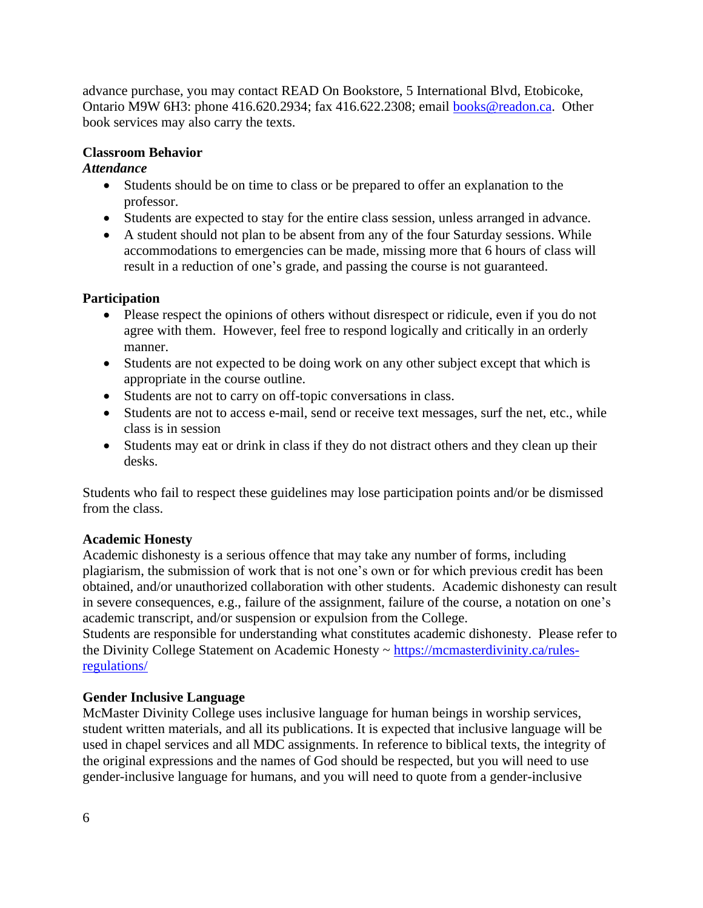advance purchase, you may contact READ On Bookstore, 5 International Blvd, Etobicoke, Ontario M9W 6H3: phone 416.620.2934; fax 416.622.2308; email [books@readon.ca.](mailto:books@readon.ca) Other book services may also carry the texts.

# **Classroom Behavior**

#### *Attendance*

- Students should be on time to class or be prepared to offer an explanation to the professor.
- Students are expected to stay for the entire class session, unless arranged in advance.
- A student should not plan to be absent from any of the four Saturday sessions. While accommodations to emergencies can be made, missing more that 6 hours of class will result in a reduction of one's grade, and passing the course is not guaranteed.

# **Participation**

- Please respect the opinions of others without disrespect or ridicule, even if you do not agree with them. However, feel free to respond logically and critically in an orderly manner.
- Students are not expected to be doing work on any other subject except that which is appropriate in the course outline.
- Students are not to carry on off-topic conversations in class.
- Students are not to access e-mail, send or receive text messages, surf the net, etc., while class is in session
- Students may eat or drink in class if they do not distract others and they clean up their desks.

Students who fail to respect these guidelines may lose participation points and/or be dismissed from the class.

## **Academic Honesty**

Academic dishonesty is a serious offence that may take any number of forms, including plagiarism, the submission of work that is not one's own or for which previous credit has been obtained, and/or unauthorized collaboration with other students. Academic dishonesty can result in severe consequences, e.g., failure of the assignment, failure of the course, a notation on one's academic transcript, and/or suspension or expulsion from the College.

Students are responsible for understanding what constitutes academic dishonesty. Please refer to the Divinity College Statement on Academic Honesty ~ [https://mcmasterdivinity.ca/rules](https://mcmasterdivinity.ca/rules-regulations/)[regulations/](https://mcmasterdivinity.ca/rules-regulations/)

# **Gender Inclusive Language**

McMaster Divinity College uses inclusive language for human beings in worship services, student written materials, and all its publications. It is expected that inclusive language will be used in chapel services and all MDC assignments. In reference to biblical texts, the integrity of the original expressions and the names of God should be respected, but you will need to use gender-inclusive language for humans, and you will need to quote from a gender-inclusive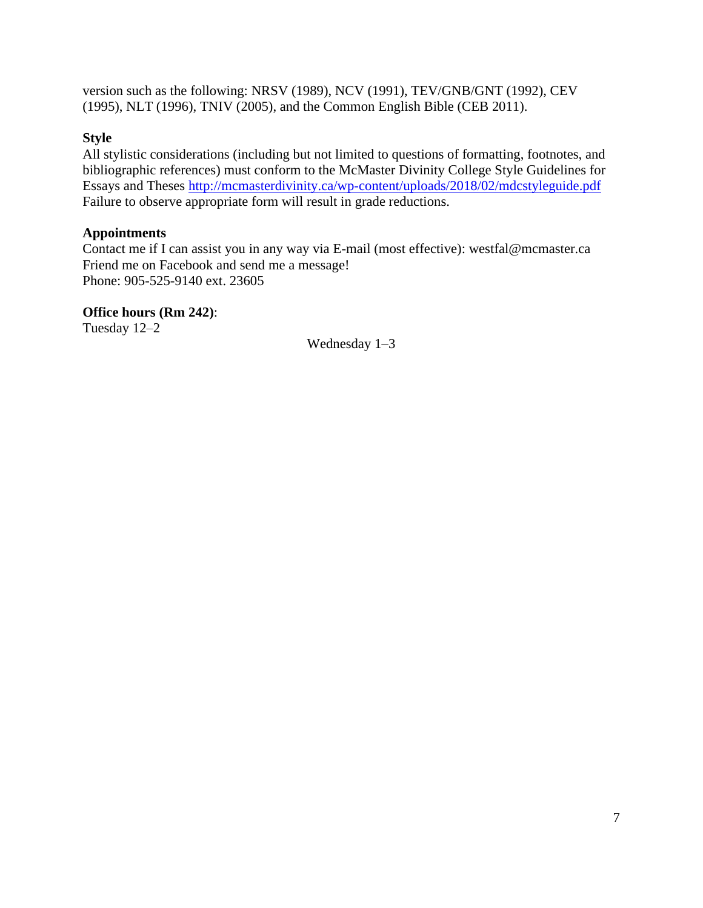version such as the following: NRSV (1989), NCV (1991), TEV/GNB/GNT (1992), CEV (1995), NLT (1996), TNIV (2005), and the Common English Bible (CEB 2011).

# **Style**

All stylistic considerations (including but not limited to questions of formatting, footnotes, and bibliographic references) must conform to the McMaster Divinity College Style Guidelines for Essays and Theses http://mcmasterdivinity.ca/wp-content/uploads/2018/02/mdcstyleguide.pdf Failure to observe appropriate form will result in grade reductions.

# **Appointments**

Contact me if I can assist you in any way via E-mail (most effective): westfal@mcmaster.ca Friend me on Facebook and send me a message! Phone: 905-525-9140 ext. 23605

# **Office hours (Rm 242)**:

Tuesday 12–2

Wednesday 1–3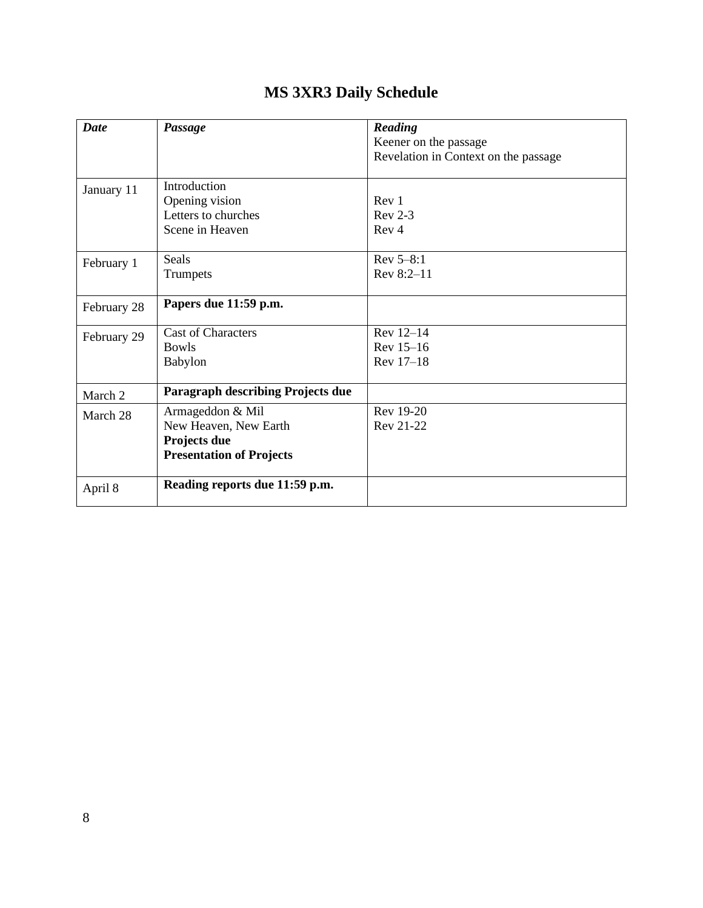| <b>Date</b> | Passage                                                                                      | Reading<br>Keener on the passage       |
|-------------|----------------------------------------------------------------------------------------------|----------------------------------------|
|             |                                                                                              | Revelation in Context on the passage   |
| January 11  | Introduction<br>Opening vision<br>Letters to churches<br>Scene in Heaven                     | Rev 1<br>$Rev 2-3$<br>Rev <sub>4</sub> |
| February 1  | Seals<br>Trumpets                                                                            | $Rev 5-8:1$<br>Rev 8:2-11              |
| February 28 | Papers due 11:59 p.m.                                                                        |                                        |
| February 29 | <b>Cast of Characters</b><br><b>Bowls</b><br><b>Babylon</b>                                  | Rev 12-14<br>Rev 15-16<br>Rev 17-18    |
| March 2     | <b>Paragraph describing Projects due</b>                                                     |                                        |
| March 28    | Armageddon & Mil<br>New Heaven, New Earth<br>Projects due<br><b>Presentation of Projects</b> | Rev 19-20<br>Rev 21-22                 |
| April 8     | Reading reports due 11:59 p.m.                                                               |                                        |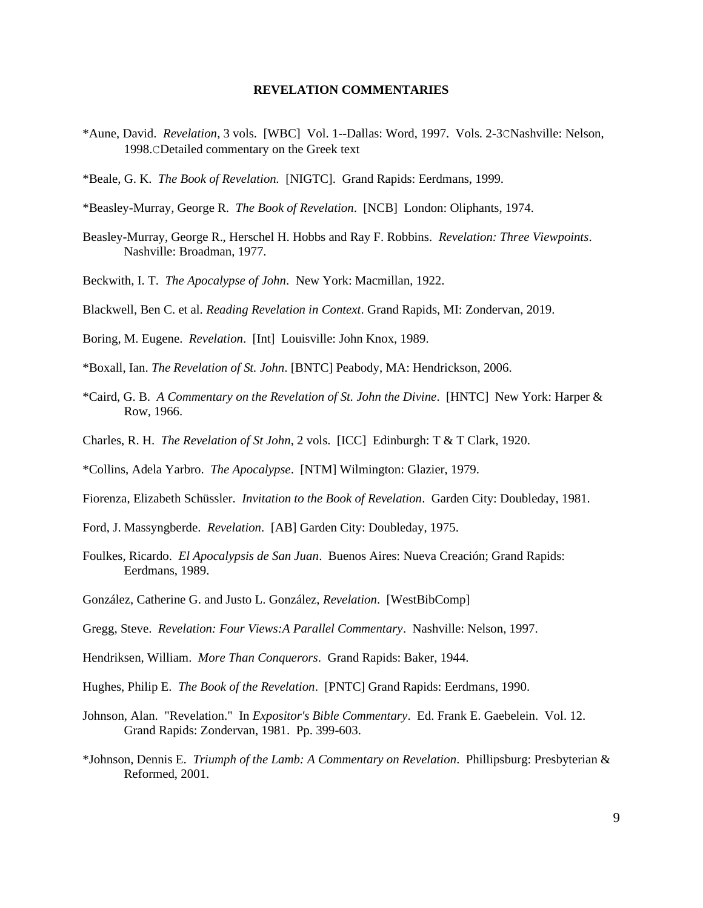#### **REVELATION COMMENTARIES**

- \*Aune, David. *Revelation*, 3 vols. [WBC] Vol. 1--Dallas: Word, 1997. Vols. 2-3CNashville: Nelson, 1998.CDetailed commentary on the Greek text
- \*Beale, G. K. *The Book of Revelation.* [NIGTC]. Grand Rapids: Eerdmans, 1999.
- \*Beasley-Murray, George R. *The Book of Revelation*. [NCB] London: Oliphants, 1974.
- Beasley-Murray, George R., Herschel H. Hobbs and Ray F. Robbins. *Revelation: Three Viewpoints*. Nashville: Broadman, 1977.
- Beckwith, I. T. *The Apocalypse of John*. New York: Macmillan, 1922.
- Blackwell, Ben C. et al. *Reading Revelation in Context*. Grand Rapids, MI: Zondervan, 2019.
- Boring, M. Eugene. *Revelation*. [Int] Louisville: John Knox, 1989.
- \*Boxall, Ian. *The Revelation of St. John*. [BNTC] Peabody, MA: Hendrickson, 2006.
- \*Caird, G. B. *A Commentary on the Revelation of St. John the Divine*. [HNTC] New York: Harper & Row, 1966.
- Charles, R. H. *The Revelation of St John*, 2 vols. [ICC] Edinburgh: T & T Clark, 1920.
- \*Collins, Adela Yarbro. *The Apocalypse*. [NTM] Wilmington: Glazier, 1979.
- Fiorenza, Elizabeth Schüssler. *Invitation to the Book of Revelation*. Garden City: Doubleday, 1981.
- Ford, J. Massyngberde. *Revelation*. [AB] Garden City: Doubleday, 1975.
- Foulkes, Ricardo. *El Apocalypsis de San Juan*. Buenos Aires: Nueva Creación; Grand Rapids: Eerdmans, 1989.
- González, Catherine G. and Justo L. González, *Revelation*. [WestBibComp]
- Gregg, Steve. *Revelation: Four Views:A Parallel Commentary*. Nashville: Nelson, 1997.
- Hendriksen, William. *More Than Conquerors*. Grand Rapids: Baker, 1944.
- Hughes, Philip E. *The Book of the Revelation*. [PNTC] Grand Rapids: Eerdmans, 1990.
- Johnson, Alan. "Revelation." In *Expositor's Bible Commentary*. Ed. Frank E. Gaebelein. Vol. 12. Grand Rapids: Zondervan, 1981. Pp. 399-603.
- \*Johnson, Dennis E. *Triumph of the Lamb: A Commentary on Revelation*. Phillipsburg: Presbyterian & Reformed, 2001.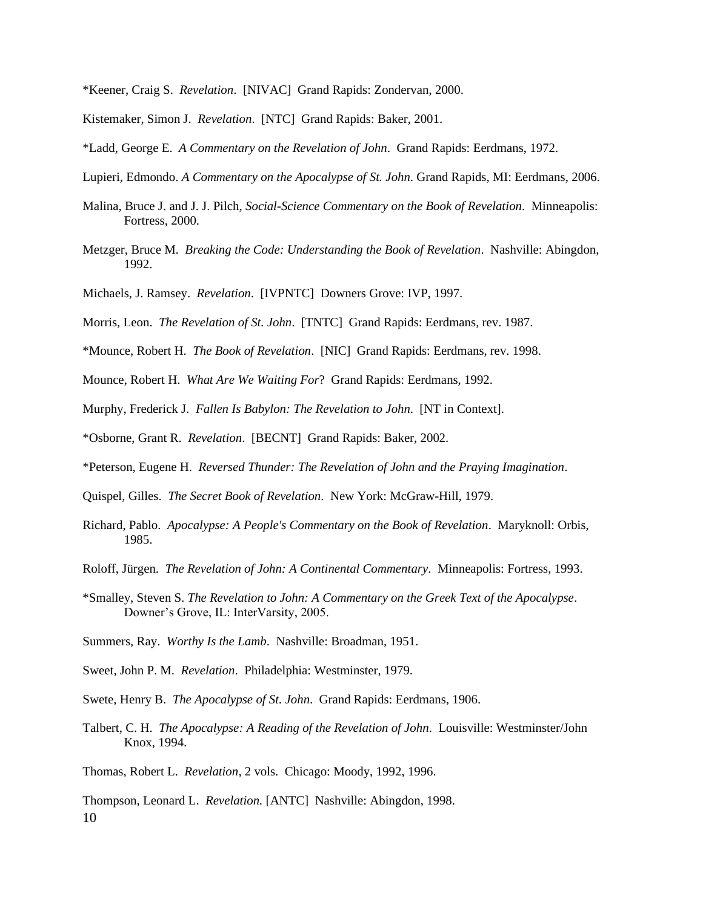- \*Keener, Craig S. *Revelation*. [NIVAC] Grand Rapids: Zondervan, 2000.
- Kistemaker, Simon J. *Revelation*. [NTC] Grand Rapids: Baker, 2001.
- \*Ladd, George E. *A Commentary on the Revelation of John*. Grand Rapids: Eerdmans, 1972.
- Lupieri, Edmondo. *A Commentary on the Apocalypse of St. John*. Grand Rapids, MI: Eerdmans, 2006.
- Malina, Bruce J. and J. J. Pilch, *Social-Science Commentary on the Book of Revelation*. Minneapolis: Fortress, 2000.
- Metzger, Bruce M. *Breaking the Code: Understanding the Book of Revelation*. Nashville: Abingdon, 1992.
- Michaels, J. Ramsey. *Revelation*. [IVPNTC] Downers Grove: IVP, 1997.
- Morris, Leon. *The Revelation of St. John*. [TNTC] Grand Rapids: Eerdmans, rev. 1987.
- \*Mounce, Robert H. *The Book of Revelation*. [NIC] Grand Rapids: Eerdmans, rev. 1998.
- Mounce, Robert H. *What Are We Waiting For*? Grand Rapids: Eerdmans, 1992.
- Murphy, Frederick J. *Fallen Is Babylon: The Revelation to John*. [NT in Context].
- \*Osborne, Grant R. *Revelation*. [BECNT] Grand Rapids: Baker, 2002.
- \*Peterson, Eugene H. *Reversed Thunder: The Revelation of John and the Praying Imagination*.
- Quispel, Gilles. *The Secret Book of Revelation*. New York: McGraw-Hill, 1979.
- Richard, Pablo. *Apocalypse: A People's Commentary on the Book of Revelation*. Maryknoll: Orbis, 1985.
- Roloff, Jürgen. *The Revelation of John: A Continental Commentary*. Minneapolis: Fortress, 1993.
- \*Smalley, Steven S. *The Revelation to John: A Commentary on the Greek Text of the Apocalypse*. Downer's Grove, IL: InterVarsity, 2005.
- Summers, Ray. *Worthy Is the Lamb*. Nashville: Broadman, 1951.
- Sweet, John P. M. *Revelation*. Philadelphia: Westminster, 1979.
- Swete, Henry B. *The Apocalypse of St. John*. Grand Rapids: Eerdmans, 1906.
- Talbert, C. H. *The Apocalypse: A Reading of the Revelation of John*. Louisville: Westminster/John Knox, 1994.

Thomas, Robert L. *Revelation*, 2 vols. Chicago: Moody, 1992, 1996.

10 Thompson, Leonard L. *Revelation.* [ANTC] Nashville: Abingdon, 1998.